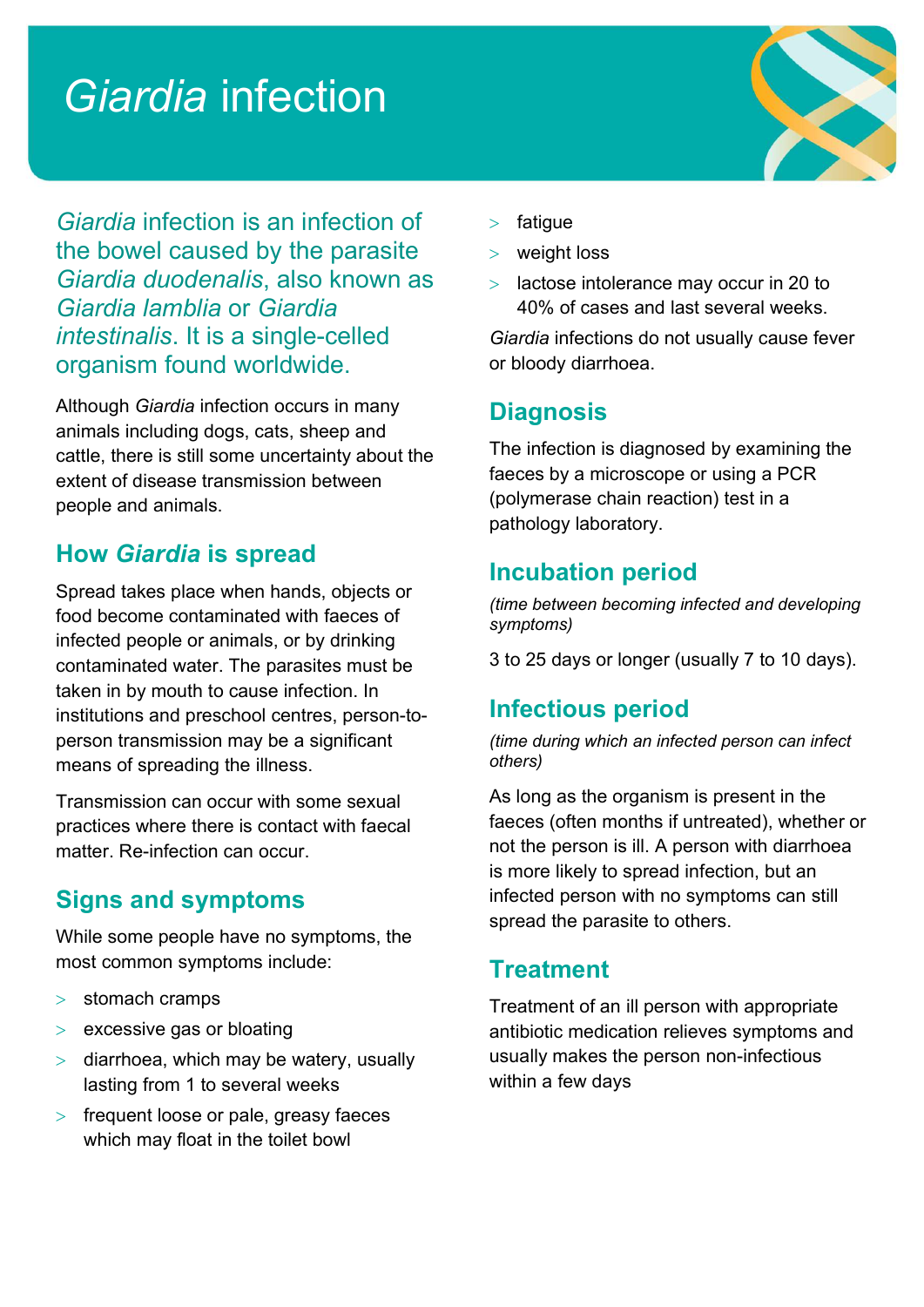# Giardia infection



Giardia infection is an infection of the bowel caused by the parasite Giardia duodenalis, also known as Giardia lamblia or Giardia intestinalis. It is a single-celled organism found worldwide.

Although Giardia infection occurs in many animals including dogs, cats, sheep and cattle, there is still some uncertainty about the extent of disease transmission between people and animals.

## How Giardia is spread

Spread takes place when hands, objects or food become contaminated with faeces of infected people or animals, or by drinking contaminated water. The parasites must be taken in by mouth to cause infection. In institutions and preschool centres, person-toperson transmission may be a significant means of spreading the illness.

Transmission can occur with some sexual practices where there is contact with faecal matter. Re-infection can occur.

## Signs and symptoms

While some people have no symptoms, the most common symptoms include:

- $>$  stomach cramps
- $>$  excessive gas or bloating
- $>$  diarrhoea, which may be watery, usually lasting from 1 to several weeks
- frequent loose or pale, greasy faeces which may float in the toilet bowl
- fatigue
- weight loss
- lactose intolerance may occur in 20 to 40% of cases and last several weeks.

Giardia infections do not usually cause fever or bloody diarrhoea.

## **Diagnosis**

The infection is diagnosed by examining the faeces by a microscope or using a PCR (polymerase chain reaction) test in a pathology laboratory.

## Incubation period

(time between becoming infected and developing symptoms)

3 to 25 days or longer (usually 7 to 10 days).

#### Infectious period

(time during which an infected person can infect others)

As long as the organism is present in the faeces (often months if untreated), whether or not the person is ill. A person with diarrhoea is more likely to spread infection, but an infected person with no symptoms can still spread the parasite to others.

#### **Treatment**

Treatment of an ill person with appropriate antibiotic medication relieves symptoms and usually makes the person non-infectious within a few days